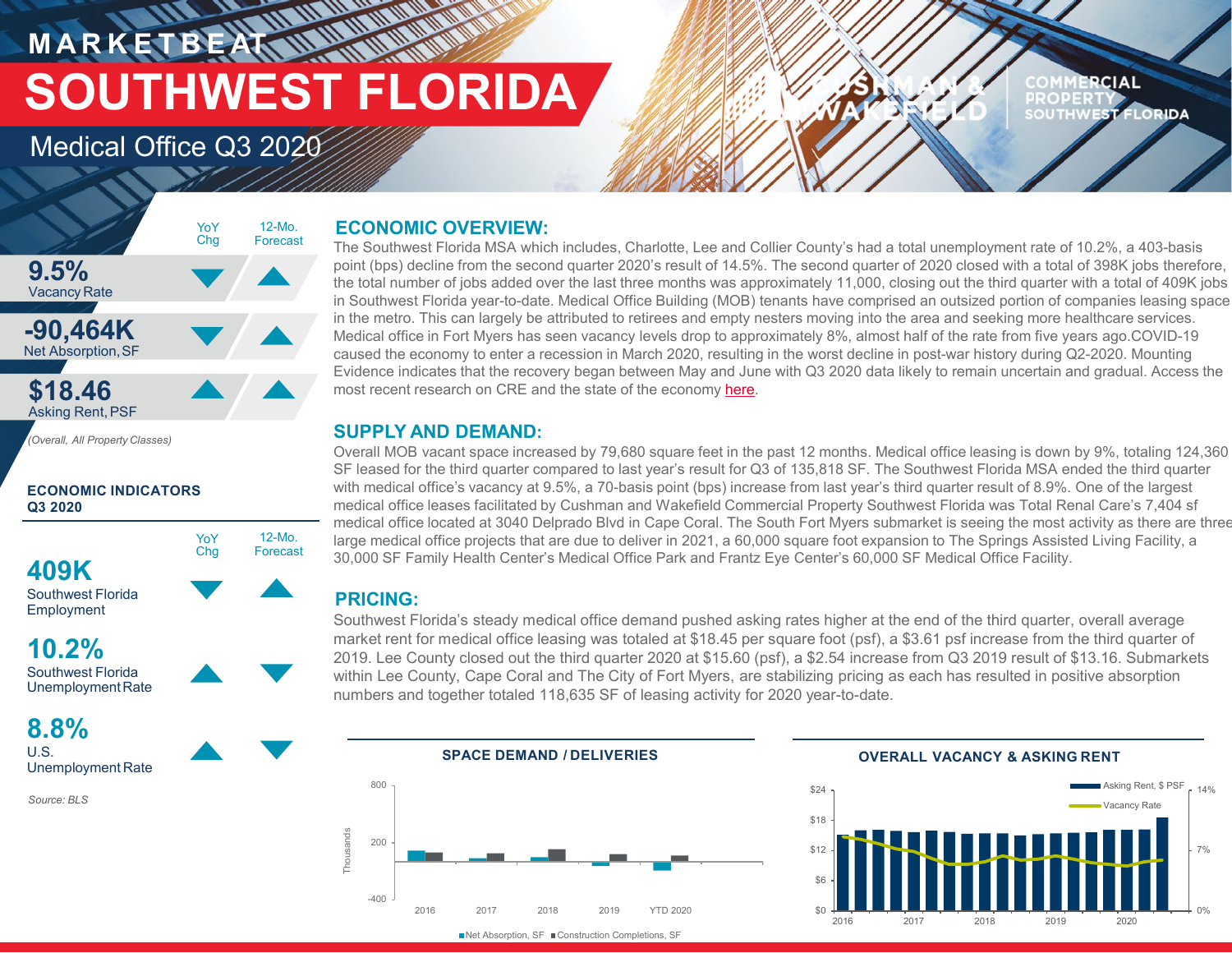# **MARKETBEAT MANAGEMENT SOUTHWEST FLORIDA**

## Medical Office Q3 2020

## 12-Mo. Forecast YoY Chg

12-Mo. Forecast

### **ECONOMIC OVERVIEW:**

The Southwest Florida MSA which includes, Charlotte, Lee and Collier County's had a total unemployment rate of 10.2%, a 403-basis point (bps) decline from the second quarter 2020's result of 14.5%. The second quarter of 2020 closed with a total of 398K jobs therefore, the total number of jobs added over the last three months was approximately 11,000, closing out the third quarter with a total of 409K jobs in Southwest Florida year-to-date. Medical Office Building (MOB) tenants have comprised an outsized portion of companies leasing space in the metro. This can largely be attributed to retirees and empty nesters moving into the area and seeking more healthcare services. Medical office in Fort Myers has seen vacancy levels drop to approximately 8%, almost half of the rate from five years ago.COVID-19 caused the economy to enter a recession in March 2020, resulting in the worst decline in post-war history during Q2-2020. Mounting Evidence indicates that the recovery began between May and June with Q3 2020 data likely to remain uncertain and gradual. Access the most recent research on CRE and the state of the economy [here](https://nam11.safelinks.protection.outlook.com/?url=https%3A%2F%2Fwww.cushmanwakefield.com%2Fen%2Finsights%2Fcovid-19%2Fcoronavirus-impact-on-property-markets-with-focus-on-united-states-and-canada&data=01%7C01%7Cmdemasi%40cpswfl.com%7C695427d4cdaf43ef288008d817ae80ca%7Cdd76720593234182a990437e697494a1%7C0&sdata=b0SaIMcdW%2FKb3lizzk95jeasX1I37NnkMcRrNdB9Qmc%3D&reserved=0).

### **SUPPLY AND DEMAND:**

Overall MOB vacant space increased by 79,680 square feet in the past 12 months. Medical office leasing is down by 9%, totaling 124,360 SF leased for the third quarter compared to last year's result for Q3 of 135,818 SF. The Southwest Florida MSA ended the third quarter with medical office's vacancy at 9.5%, a 70-basis point (bps) increase from last year's third quarter result of 8.9%. One of the largest medical office leases facilitated by Cushman and Wakefield Commercial Property Southwest Florida was Total Renal Care's 7,404 sf medical office located at 3040 Delprado Blvd in Cape Coral. The South Fort Myers submarket is seeing the most activity as there are three large medical office projects that are due to deliver in 2021, a 60,000 square foot expansion to The Springs Assisted Living Facility, a 30,000 SF Family Health Center's Medical Office Park and Frantz Eye Center's 60,000 SF Medical Office Facility.

### **PRICING:**

Southwest Florida's steady medical office demand pushed asking rates higher at the end of the third quarter, overall average market rent for medical office leasing was totaled at \$18.45 per square foot (psf), a \$3.61 psf increase from the third quarter of 2019. Lee County closed out the third quarter 2020 at \$15.60 (psf), a \$2.54 increase from Q3 2019 result of \$13.16. Submarkets within Lee County, Cape Coral and The City of Fort Myers, are stabilizing pricing as each has resulted in positive absorption numbers and together totaled 118,635 SF of leasing activity for 2020 year-to-date.



■Net Absorption, SF ■ Construction Completions, SF



**COMMERCIAL PROPERTY** 

SOUTHWEST FLORIDA

## **Q3 2020**

**ECONOMIC INDICATORS** 

*(Overall, All Property Classes)*

YoY Chg

Southwest Florida Employment

**409K**

**9.5%** Vacancy Rate

**-90,464K** Net Absorption,SF

**\$18.46 Asking Rent, PSF** 

**10.2%** Southwest Florida UnemploymentRate

**8.8%** U.S. Unemployment Rate

*Source: BLS*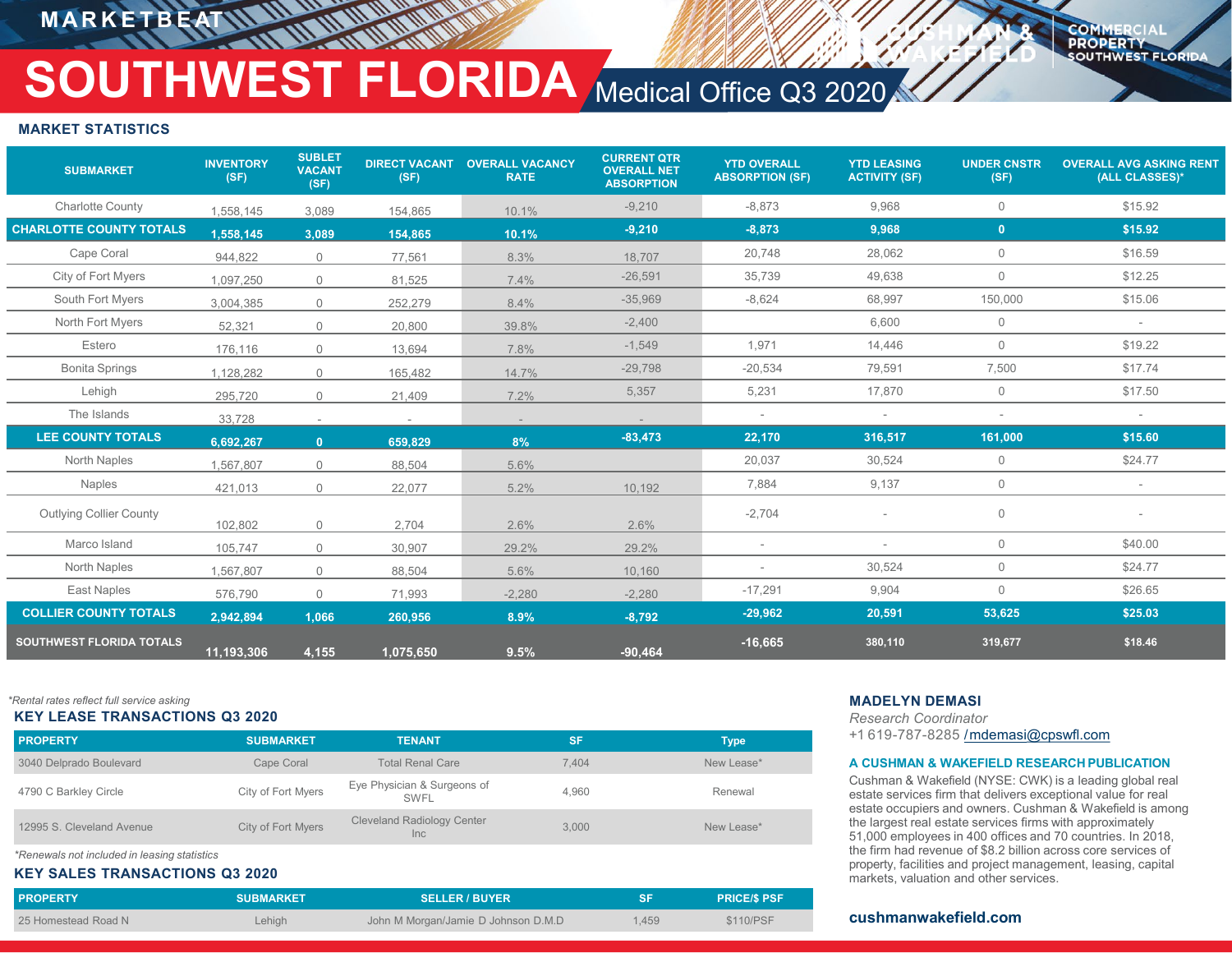**MARKETBEA** 

#### **COMMERCIAL PROPERTY SOUTHWEST FLORIDA**

## **SOUTHWEST FLORIDA** Medical Office Q3 2020

#### **MARKET STATISTICS**

| <b>SUBMARKET</b>                | <b>INVENTORY</b><br>(SF) | <b>SUBLET</b><br><b>VACANT</b><br>(SF) | <b>DIRECT VACANT</b><br>(SF) | <b>OVERALL VACANCY</b><br><b>RATE</b> | <b>CURRENT QTR</b><br><b>OVERALL NET</b><br><b>ABSORPTION</b> | <b>YTD OVERALL</b><br><b>ABSORPTION (SF)</b> | <b>YTD LEASING</b><br><b>ACTIVITY (SF)</b> | <b>UNDER CNSTR</b><br>(SF) | <b>OVERALL AVG ASKING RENT</b><br>(ALL CLASSES)* |
|---------------------------------|--------------------------|----------------------------------------|------------------------------|---------------------------------------|---------------------------------------------------------------|----------------------------------------------|--------------------------------------------|----------------------------|--------------------------------------------------|
| <b>Charlotte County</b>         | 1,558,145                | 3,089                                  | 154,865                      | 10.1%                                 | $-9,210$                                                      | $-8,873$                                     | 9,968                                      | $\mathbf 0$                | \$15.92                                          |
| <b>CHARLOTTE COUNTY TOTALS</b>  | 1,558,145                | 3,089                                  | 154,865                      | 10.1%                                 | $-9,210$                                                      | $-8,873$                                     | 9,968                                      | $\mathbf{0}$               | \$15.92                                          |
| Cape Coral                      | 944.822                  | $\overline{0}$                         | 77,561                       | 8.3%                                  | 18.707                                                        | 20,748                                       | 28,062                                     | $\mathbf 0$                | \$16.59                                          |
| City of Fort Myers              | 1,097,250                | $\mathbf 0$                            | 81,525                       | 7.4%                                  | $-26,591$                                                     | 35,739                                       | 49,638                                     | $\mathbf{0}$               | \$12.25                                          |
| South Fort Myers                | 3,004,385                | $\overline{0}$                         | 252,279                      | 8.4%                                  | $-35,969$                                                     | $-8,624$                                     | 68,997                                     | 150,000                    | \$15.06                                          |
| North Fort Myers                | 52,321                   | $\mathbf 0$                            | 20,800                       | 39.8%                                 | $-2,400$                                                      |                                              | 6,600                                      | $\mathbf 0$                | $\sim$                                           |
| Estero                          | 176,116                  | $\overline{0}$                         | 13,694                       | 7.8%                                  | $-1,549$                                                      | 1,971                                        | 14,446                                     | $\mathbf 0$                | \$19.22                                          |
| <b>Bonita Springs</b>           | 1,128,282                | $\overline{0}$                         | 165,482                      | 14.7%                                 | $-29,798$                                                     | $-20,534$                                    | 79,591                                     | 7,500                      | \$17.74                                          |
| Lehigh                          | 295,720                  | $\overline{0}$                         | 21,409                       | 7.2%                                  | 5,357                                                         | 5,231                                        | 17,870                                     | $\mathbf{0}$               | \$17.50                                          |
| The Islands                     | 33,728                   | $\sim$                                 | $\sim$                       | $\sim$                                |                                                               | $\overline{\phantom{a}}$                     |                                            | $\overline{\phantom{a}}$   |                                                  |
| <b>LEE COUNTY TOTALS</b>        | 6,692,267                | $\mathbf{0}$                           | 659,829                      | 8%                                    | $-83,473$                                                     | 22,170                                       | 316,517                                    | 161,000                    | \$15.60                                          |
| <b>North Naples</b>             | 1,567,807                | $\overline{0}$                         | 88,504                       | 5.6%                                  |                                                               | 20,037                                       | 30,524                                     | $\mathbf 0$                | \$24.77                                          |
| <b>Naples</b>                   | 421,013                  | $\overline{0}$                         | 22,077                       | 5.2%                                  | 10,192                                                        | 7,884                                        | 9,137                                      | $\circ$                    | $\overline{\phantom{a}}$                         |
| <b>Outlying Collier County</b>  | 102,802                  | $\overline{0}$                         | 2,704                        | 2.6%                                  | 2.6%                                                          | $-2,704$                                     |                                            | $\mathbf 0$                |                                                  |
| Marco Island                    | 105,747                  | $\overline{0}$                         | 30,907                       | 29.2%                                 | 29.2%                                                         | $\overline{\phantom{a}}$                     | ٠                                          | $\mathbf 0$                | \$40.00                                          |
| North Naples                    | .567,807                 | $\overline{0}$                         | 88,504                       | 5.6%                                  | 10,160                                                        | $\sim$                                       | 30,524                                     | $\mathbf 0$                | \$24.77                                          |
| <b>East Naples</b>              | 576,790                  | $\overline{0}$                         | 71,993                       | $-2,280$                              | $-2,280$                                                      | $-17,291$                                    | 9,904                                      | $\mathbf{0}$               | \$26.65                                          |
| <b>COLLIER COUNTY TOTALS</b>    | 2,942,894                | 1,066                                  | 260,956                      | 8.9%                                  | $-8,792$                                                      | $-29,962$                                    | 20,591                                     | 53,625                     | \$25.03                                          |
| <b>SOUTHWEST FLORIDA TOTALS</b> | 11,193,306               | 4,155                                  | 1,075,650                    | 9.5%                                  | $-90,464$                                                     | $-16,665$                                    | 380,110                                    | 319,677                    | \$18.46                                          |

#### *\*Rental rates reflect full service asking* **MADELYN DEMASI**

#### **KEY LEASE TRANSACTIONS Q3 2020**

| <b>PROPERTY</b>           | <b>SUBMARKET</b>   | <b>TENANT</b>                              | <b>SF</b> | Type       |
|---------------------------|--------------------|--------------------------------------------|-----------|------------|
| 3040 Delprado Boulevard   | Cape Coral         | <b>Total Renal Care</b>                    | 7.404     | New Lease* |
| 4790 C Barkley Circle     | City of Fort Myers | Eye Physician & Surgeons of<br><b>SWFL</b> | 4.960     | Renewal    |
| 12995 S. Cleveland Avenue | City of Fort Myers | <b>Cleveland Radiology Center</b><br>Inc   | 3.000     | New Lease* |

*\*Renewals not included in leasing statistics*

#### **KEY SALES TRANSACTIONS Q3 2020**

| <b>PROPERTY</b>     | <b>SUBMARKET</b> | <b>SELLER / BUYER</b>               | SF    | <b>PRICE/S PSF</b> |
|---------------------|------------------|-------------------------------------|-------|--------------------|
| 25 Homestead Road N | Lehigh           | John M Morgan/Jamie D Johnson D.M.D | 1,459 | \$110/PSF          |

*Research Coordinator*  +1 619-787-8285 [/mdemasi@cpswfl.com](mailto:name@cushwake.com)

#### **A CUSHMAN & WAKEFIELD RESEARCH PUBLICATION**

Cushman & Wakefield (NYSE: CWK) is a leading global real estate services firm that delivers exceptional value for real estate occupiers and owners. Cushman & Wakefield is among the largest real estate services firms with approximately 51,000 employees in 400 offices and 70 countries. In 2018, the firm had revenue of \$8.2 billion across core services of property, facilities and project management, leasing, capital markets, valuation and other services.

#### **cushmanwakefield.com**